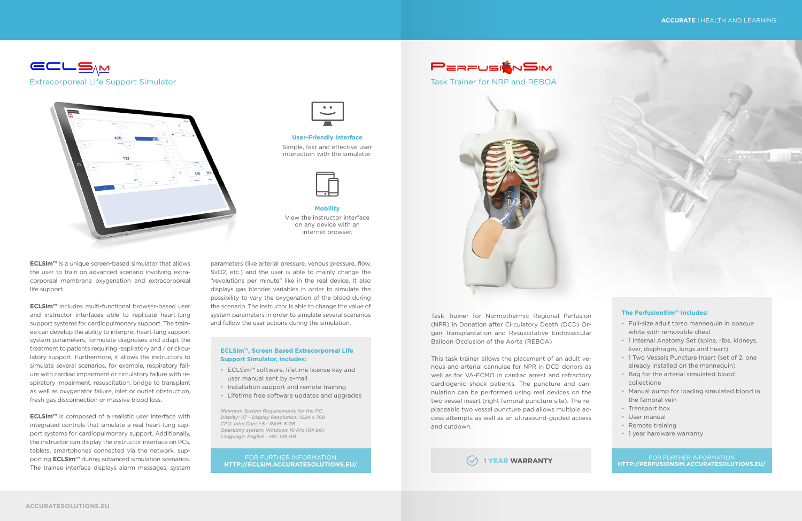

Task Trainer for NRP and REBOA



Task Trainer for Normothermic Regional Perfusion (NPR) in Donation after Circulatory Death (DCD) Organ Transplantation and Resuscitative Endovascular Balloon Occlusion of the Aorta (REBOA)

This task trainer allows the placement of an adult venous and arterial cannulae for NPR in DCD donors as well as for VA-ECMO in cardiac arrest and refractory cardiogenic shock patients. The puncture and cannulation can be performed using real devices on the two vessel insert (right femoral puncture site). The replaceable two vessel puncture pad allows multiple access attempts as well as an ultrasound-guided access and cutdown.

## **The PerfusionSim™ includes:**

- Full-size adult torso mannequin in opaque white with removable chest
- 1 Internal Anatomy Set (spine, ribs, kidneys, liver, diaphragm, lungs and heart)
- 1 Two Vessels Puncture Insert (set of 2, one already installed on the mannequin)
- Bag for the arterial simulated blood collectione
- Manual pump for loading simulated blood in the femoral vein
- Transport box
- User manual
- Remote training
- 1 year hardware warranty

FOR FURTHER INFORMATION **HTTP://PERFUSIONSIM.ACCURATESOLUTIONS.EU/ 1 YEAR WARRANTY**